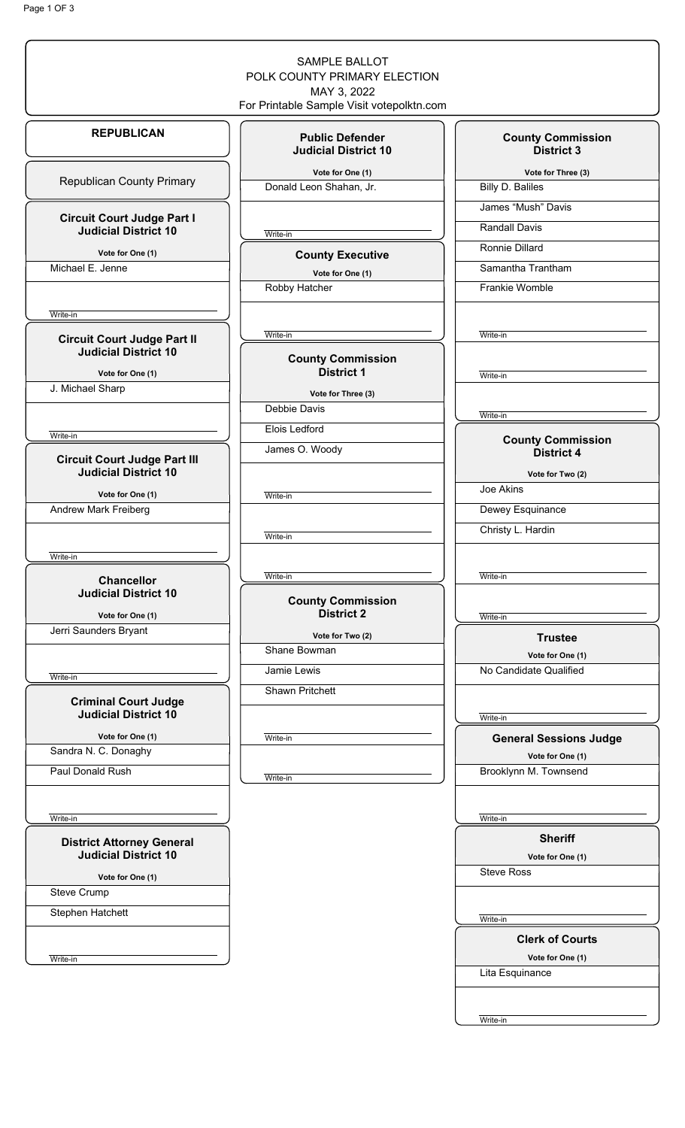Page 1 OF 3

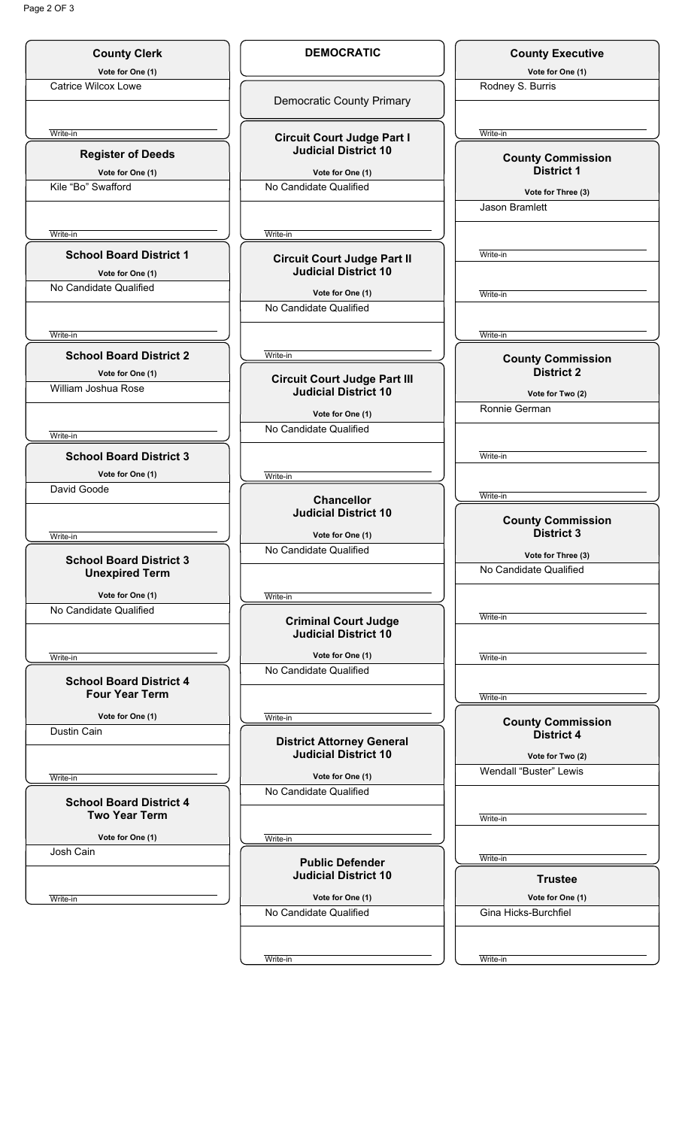| <b>County Clerk</b><br>Vote for One (1)                 | <b>DEMOCRATIC</b>                                                 | <b>County Executive</b><br>Vote for One (1)   |
|---------------------------------------------------------|-------------------------------------------------------------------|-----------------------------------------------|
| <b>Catrice Wilcox Lowe</b>                              |                                                                   | Rodney S. Burris                              |
|                                                         | <b>Democratic County Primary</b>                                  |                                               |
| Write-in                                                | <b>Circuit Court Judge Part I</b>                                 | Write-in                                      |
| <b>Register of Deeds</b><br>Vote for One (1)            | <b>Judicial District 10</b><br>Vote for One (1)                   | <b>County Commission</b><br><b>District 1</b> |
| Kile "Bo" Swafford                                      | No Candidate Qualified                                            | Vote for Three (3)                            |
|                                                         |                                                                   | Jason Bramlett                                |
|                                                         |                                                                   |                                               |
| Write-in                                                | Write-in                                                          |                                               |
| <b>School Board District 1</b><br>Vote for One (1)      | <b>Circuit Court Judge Part II</b><br><b>Judicial District 10</b> | Write-in                                      |
| No Candidate Qualified                                  | Vote for One (1)                                                  | Write-in                                      |
|                                                         | No Candidate Qualified                                            |                                               |
|                                                         |                                                                   |                                               |
| Write-in                                                |                                                                   | Write-in                                      |
| <b>School Board District 2</b>                          | Write-in                                                          | <b>County Commission</b>                      |
| Vote for One (1)                                        | <b>Circuit Court Judge Part III</b>                               | <b>District 2</b>                             |
| William Joshua Rose                                     | <b>Judicial District 10</b>                                       | Vote for Two (2)                              |
|                                                         | Vote for One (1)                                                  | Ronnie German                                 |
| Write-in                                                | No Candidate Qualified                                            |                                               |
|                                                         |                                                                   |                                               |
| <b>School Board District 3</b>                          |                                                                   | Write-in                                      |
| Vote for One (1)                                        | Write-in                                                          |                                               |
| David Goode                                             | <b>Chancellor</b>                                                 | Write-in                                      |
|                                                         | <b>Judicial District 10</b>                                       | <b>County Commission</b>                      |
|                                                         |                                                                   |                                               |
| Write-in                                                | Vote for One (1)                                                  | <b>District 3</b>                             |
|                                                         | No Candidate Qualified                                            |                                               |
| <b>School Board District 3</b><br><b>Unexpired Term</b> |                                                                   | Vote for Three (3)<br>No Candidate Qualified  |
| Vote for One (1)                                        | Write-in                                                          |                                               |
| No Candidate Qualified                                  |                                                                   | Write-in                                      |
|                                                         | <b>Criminal Court Judge</b><br><b>Judicial District 10</b>        |                                               |
| Write-in                                                | Vote for One (1)                                                  | Write-in                                      |
|                                                         | No Candidate Qualified                                            |                                               |
| <b>School Board District 4</b><br><b>Four Year Term</b> |                                                                   |                                               |
|                                                         |                                                                   | Write-in                                      |
| Vote for One (1)<br>Dustin Cain                         | Write-in                                                          | <b>County Commission</b>                      |
|                                                         | <b>District Attorney General</b>                                  | <b>District 4</b>                             |
|                                                         | <b>Judicial District 10</b>                                       | Vote for Two (2)                              |
| Write-in                                                | Vote for One (1)                                                  | Wendall "Buster" Lewis                        |
| <b>School Board District 4</b>                          | No Candidate Qualified                                            |                                               |
| <b>Two Year Term</b>                                    |                                                                   | Write-in                                      |
| Vote for One (1)                                        |                                                                   |                                               |
| Josh Cain                                               | Write-in                                                          |                                               |
|                                                         | <b>Public Defender</b>                                            | Write-in                                      |
|                                                         | <b>Judicial District 10</b>                                       | <b>Trustee</b>                                |
| Write-in                                                | Vote for One (1)                                                  | Vote for One (1)                              |
|                                                         | No Candidate Qualified                                            | Gina Hicks-Burchfiel                          |
|                                                         |                                                                   |                                               |